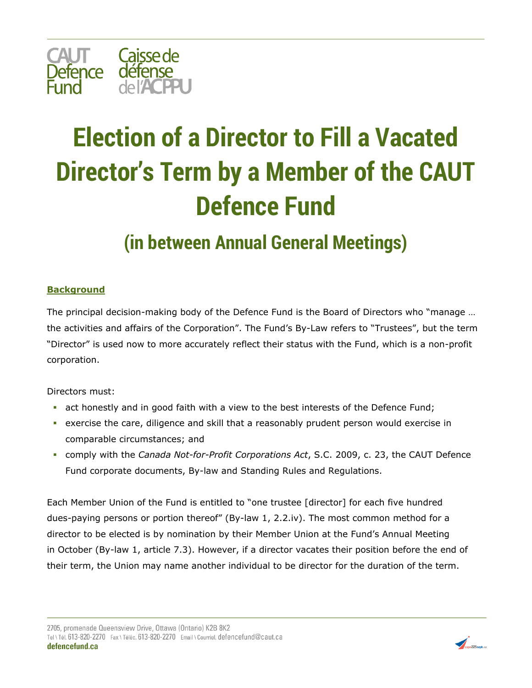

## **Election of a Director to Fill a Vacated Director's Term by a Member of the CAUT Defence Fund**

## **(in between Annual General Meetings)**

## **Background**

The principal decision-making body of the Defence Fund is the Board of Directors who "manage … the activities and affairs of the Corporation". The Fund's By-Law refers to "Trustees", but the term "Director" is used now to more accurately reflect their status with the Fund, which is a non-profit corporation.

Directors must:

- **•** act honestly and in good faith with a view to the best interests of the Defence Fund;
- **•** exercise the care, diligence and skill that a reasonably prudent person would exercise in comparable circumstances; and
- comply with the *Canada Not-for-Profit Corporations Act*, S.C. 2009, c. 23, the CAUT Defence Fund corporate documents, By-law and Standing Rules and Regulations.

Each Member Union of the Fund is entitled to "one trustee [director] for each five hundred dues-paying persons or portion thereof" (By-law 1, 2.2.iv). The most common method for a director to be elected is by nomination by their Member Union at the Fund's Annual Meeting in October (By-law 1, article 7.3). However, if a director vacates their position before the end of their term, the Union may name another individual to be director for the duration of the term.